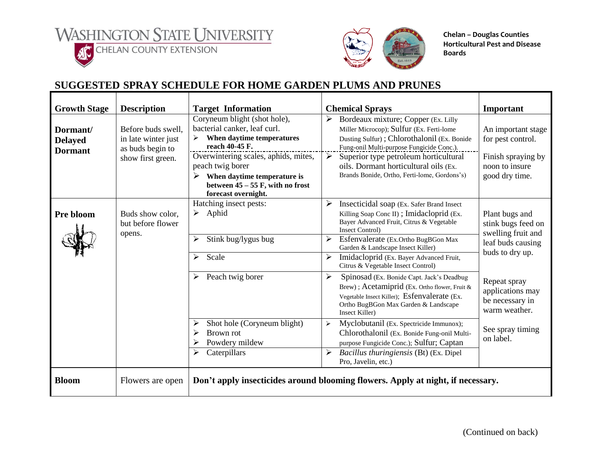l **ACCELERATE COUNTY EXTENSION** 





**Chelan – Douglas Counties Horticultural Pest and Disease Boards**

## **SUGGESTED SPRAY SCHEDULE FOR HOME GARDEN PLUMS AND PRUNES**

| <b>Growth Stage</b>                          | <b>Description</b>                                                                 | <b>Target Information</b>                                                                                                                                                                                                                                                | <b>Chemical Sprays</b>                                                                                                                                                                                                                                                                                                              | Important                                                                                          |
|----------------------------------------------|------------------------------------------------------------------------------------|--------------------------------------------------------------------------------------------------------------------------------------------------------------------------------------------------------------------------------------------------------------------------|-------------------------------------------------------------------------------------------------------------------------------------------------------------------------------------------------------------------------------------------------------------------------------------------------------------------------------------|----------------------------------------------------------------------------------------------------|
| Dormant/<br><b>Delayed</b><br><b>Dormant</b> | Before buds swell.<br>in late winter just<br>as buds begin to<br>show first green. | Coryneum blight (shot hole),<br>bacterial canker, leaf curl.<br>When daytime temperatures<br>reach 40-45 F.<br>Overwintering scales, aphids, mites,<br>peach twig borer<br>➤<br>When daytime temperature is<br>between $45 - 55$ F, with no frost<br>forecast overnight. | ➤<br>Bordeaux mixture; Copper (Ex. Lilly<br>Miller Microcop); Sulfur (Ex. Ferti-lome<br>Dusting Sulfur); Chlorothalonil (Ex. Bonide<br>Fung-onil Multi-purpose Fungicide Conc.).<br>Superior type petroleum horticultural<br>➤<br>oils. Dormant horticultural oils (Ex.<br>Brands Bonide, Ortho, Ferti-lome, Gordons's)             | An important stage<br>for pest control.<br>Finish spraying by<br>noon to insure<br>good dry time.  |
| Pre bloom                                    | Buds show color,<br>but before flower<br>opens.                                    | Hatching insect pests:<br>Aphid<br>➤<br>Stink bug/lygus bug<br>≻<br>Scale<br>≻                                                                                                                                                                                           | ➤<br>Insecticidal soap (Ex. Safer Brand Insect)<br>Killing Soap Conc II); Imidacloprid (Ex.<br>Bayer Advanced Fruit, Citrus & Vegetable<br><b>Insect Control)</b><br>➤<br>Esfenvalerate (Ex.Ortho BugBGon Max<br>Garden & Landscape Insect Killer)<br>Imidacloprid (Ex. Bayer Advanced Fruit,<br>Citrus & Vegetable Insect Control) | Plant bugs and<br>stink bugs feed on<br>swelling fruit and<br>leaf buds causing<br>buds to dry up. |
|                                              |                                                                                    | Peach twig borer<br>➤                                                                                                                                                                                                                                                    | ➤<br>Spinosad (Ex. Bonide Capt. Jack's Deadbug<br>Brew); Acetamiprid (Ex. Ortho flower, Fruit &<br>Vegetable Insect Killer); Esfenvalerate (Ex.<br>Ortho BugBGon Max Garden & Landscape<br>Insect Killer)                                                                                                                           | Repeat spray<br>applications may<br>be necessary in<br>warm weather.                               |
|                                              |                                                                                    | Shot hole (Coryneum blight)<br>Brown rot<br>Powdery mildew<br>Caterpillars<br>➤                                                                                                                                                                                          | Myclobutanil (Ex. Spectricide Immunox);<br>$\blacktriangleright$<br>Chlorothalonil (Ex. Bonide Fung-onil Multi-<br>purpose Fungicide Conc.); Sulfur; Captan<br>$\blacktriangleright$<br>Bacillus thuringiensis (Bt) (Ex. Dipel<br>Pro, Javelin, etc.)                                                                               | See spray timing<br>on label.                                                                      |
| <b>Bloom</b>                                 | Flowers are open                                                                   |                                                                                                                                                                                                                                                                          | Don't apply insecticides around blooming flowers. Apply at night, if necessary.                                                                                                                                                                                                                                                     |                                                                                                    |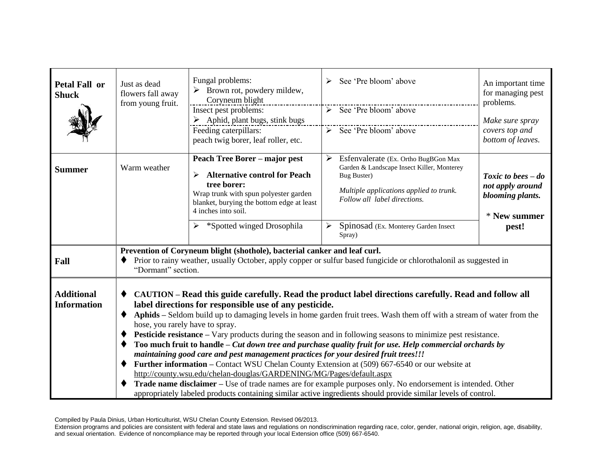| <b>Petal Fall or</b><br><b>Shuck</b>    | Just as dead<br>flowers fall away<br>from young fruit.                                                                                                                                                                                                                                                                                                                                                                                                                                                                                                                                                                                                                                                                                                                                                                                                                                                                                                                                                                                                        | Fungal problems:<br>Brown rot, powdery mildew,<br>Coryneum blight<br>Insect pest problems:<br>$\triangleright$ Aphid, plant bugs, stink bugs<br>Feeding caterpillars:<br>peach twig borer, leaf roller, etc.                                  | See 'Pre bloom' above<br>$\triangleright$ See 'Pre bloom' above<br>$\triangleright$ See 'Pre bloom' above                                                                                                                                                      | An important time<br>for managing pest<br>problems.<br>Make sure spray<br>covers top and<br>bottom of leaves. |  |  |
|-----------------------------------------|---------------------------------------------------------------------------------------------------------------------------------------------------------------------------------------------------------------------------------------------------------------------------------------------------------------------------------------------------------------------------------------------------------------------------------------------------------------------------------------------------------------------------------------------------------------------------------------------------------------------------------------------------------------------------------------------------------------------------------------------------------------------------------------------------------------------------------------------------------------------------------------------------------------------------------------------------------------------------------------------------------------------------------------------------------------|-----------------------------------------------------------------------------------------------------------------------------------------------------------------------------------------------------------------------------------------------|----------------------------------------------------------------------------------------------------------------------------------------------------------------------------------------------------------------------------------------------------------------|---------------------------------------------------------------------------------------------------------------|--|--|
| <b>Summer</b>                           | Warm weather                                                                                                                                                                                                                                                                                                                                                                                                                                                                                                                                                                                                                                                                                                                                                                                                                                                                                                                                                                                                                                                  | <b>Peach Tree Borer - major pest</b><br><b>Alternative control for Peach</b><br>➤<br>tree borer:<br>Wrap trunk with spun polyester garden<br>blanket, burying the bottom edge at least<br>4 inches into soil.<br>> *Spotted winged Drosophila | $\blacktriangleright$<br>Esfenvalerate (Ex. Ortho BugBGon Max<br>Garden & Landscape Insect Killer, Monterey<br><b>Bug Buster)</b><br>Multiple applications applied to trunk.<br>Follow all label directions.<br>Spinosad (Ex. Monterey Garden Insect<br>Spray) | Toxic to bees $-do$<br>not apply around<br>blooming plants.<br>* New summer<br>pest!                          |  |  |
| Fall                                    | Prevention of Coryneum blight (shothole), bacterial canker and leaf curl.<br>Prior to rainy weather, usually October, apply copper or sulfur based fungicide or chlorothalonil as suggested in<br>"Dormant" section.                                                                                                                                                                                                                                                                                                                                                                                                                                                                                                                                                                                                                                                                                                                                                                                                                                          |                                                                                                                                                                                                                                               |                                                                                                                                                                                                                                                                |                                                                                                               |  |  |
| <b>Additional</b><br><b>Information</b> | CAUTION – Read this guide carefully. Read the product label directions carefully. Read and follow all<br>label directions for responsible use of any pesticide.<br>Aphids - Seldom build up to damaging levels in home garden fruit trees. Wash them off with a stream of water from the<br>◆<br>hose, you rarely have to spray.<br>Pesticide resistance - Vary products during the season and in following seasons to minimize pest resistance.<br>Too much fruit to handle – Cut down tree and purchase quality fruit for use. Help commercial orchards by<br>maintaining good care and pest management practices for your desired fruit trees!!!<br>Further information – Contact WSU Chelan County Extension at (509) 667-6540 or our website at<br>http://county.wsu.edu/chelan-douglas/GARDENING/MG/Pages/default.aspx<br>Trade name disclaimer - Use of trade names are for example purposes only. No endorsement is intended. Other<br>appropriately labeled products containing similar active ingredients should provide similar levels of control. |                                                                                                                                                                                                                                               |                                                                                                                                                                                                                                                                |                                                                                                               |  |  |

Compiled by Paula Dinius, Urban Horticulturist, WSU Chelan County Extension. Revised 06/2013.

Extension programs and policies are consistent with federal and state laws and regulations on nondiscrimination regarding race, color, gender, national origin, religion, age, disability, and sexual orientation. Evidence of noncompliance may be reported through your local Extension office (509) 667-6540.